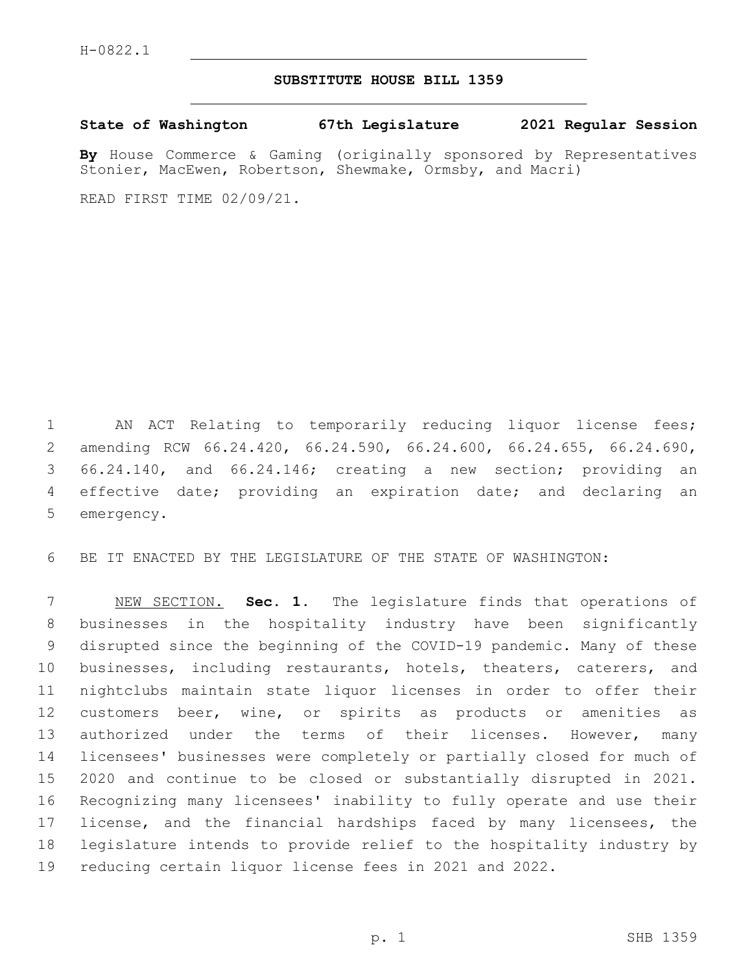## **SUBSTITUTE HOUSE BILL 1359**

**State of Washington 67th Legislature 2021 Regular Session**

**By** House Commerce & Gaming (originally sponsored by Representatives Stonier, MacEwen, Robertson, Shewmake, Ormsby, and Macri)

READ FIRST TIME 02/09/21.

 AN ACT Relating to temporarily reducing liquor license fees; amending RCW 66.24.420, 66.24.590, 66.24.600, 66.24.655, 66.24.690, 66.24.140, and 66.24.146; creating a new section; providing an effective date; providing an expiration date; and declaring an 5 emergency.

BE IT ENACTED BY THE LEGISLATURE OF THE STATE OF WASHINGTON:

 NEW SECTION. **Sec. 1.** The legislature finds that operations of businesses in the hospitality industry have been significantly disrupted since the beginning of the COVID-19 pandemic. Many of these businesses, including restaurants, hotels, theaters, caterers, and nightclubs maintain state liquor licenses in order to offer their customers beer, wine, or spirits as products or amenities as 13 authorized under the terms of their licenses. However, many licensees' businesses were completely or partially closed for much of 2020 and continue to be closed or substantially disrupted in 2021. Recognizing many licensees' inability to fully operate and use their 17 license, and the financial hardships faced by many licensees, the legislature intends to provide relief to the hospitality industry by reducing certain liquor license fees in 2021 and 2022.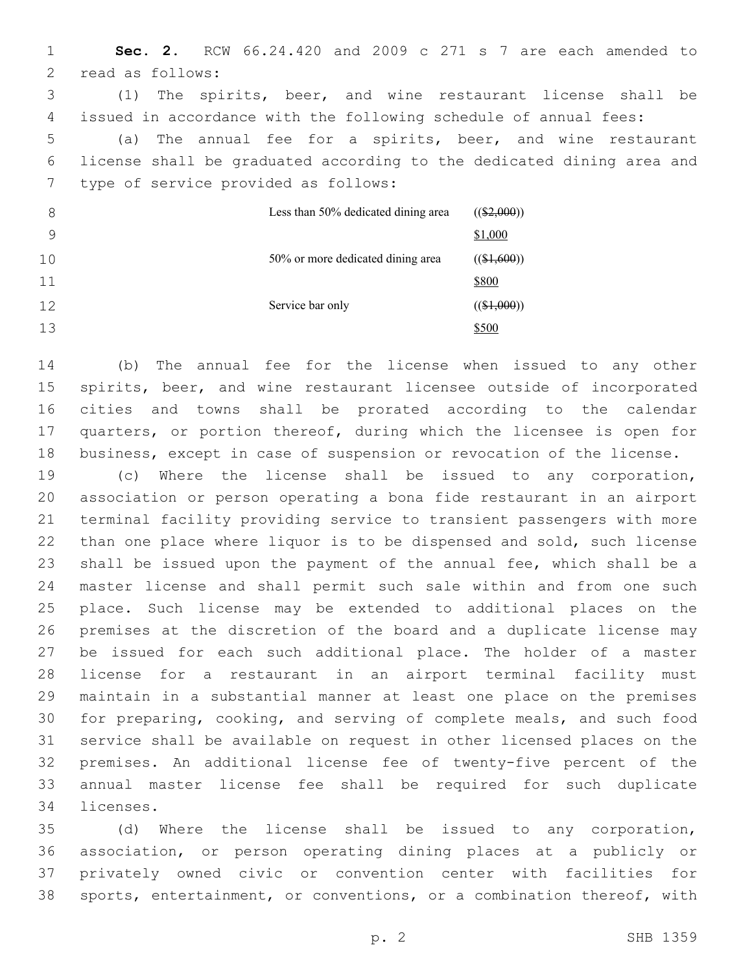**Sec. 2.** RCW 66.24.420 and 2009 c 271 s 7 are each amended to 2 read as follows: (1) The spirits, beer, and wine restaurant license shall be issued in accordance with the following schedule of annual fees: (a) The annual fee for a spirits, beer, and wine restaurant license shall be graduated according to the dedicated dining area and 7 type of service provided as follows: Less than 50% dedicated dining area  $((\$2,000))$ \$1,000 50% or more dedicated dining area  $((\$1,600))$ \$800 Service bar only  $((\$1,000))$ \$500

 (b) The annual fee for the license when issued to any other spirits, beer, and wine restaurant licensee outside of incorporated cities and towns shall be prorated according to the calendar quarters, or portion thereof, during which the licensee is open for business, except in case of suspension or revocation of the license.

 (c) Where the license shall be issued to any corporation, association or person operating a bona fide restaurant in an airport terminal facility providing service to transient passengers with more than one place where liquor is to be dispensed and sold, such license shall be issued upon the payment of the annual fee, which shall be a master license and shall permit such sale within and from one such place. Such license may be extended to additional places on the premises at the discretion of the board and a duplicate license may be issued for each such additional place. The holder of a master license for a restaurant in an airport terminal facility must maintain in a substantial manner at least one place on the premises for preparing, cooking, and serving of complete meals, and such food service shall be available on request in other licensed places on the premises. An additional license fee of twenty-five percent of the annual master license fee shall be required for such duplicate 34 licenses.

 (d) Where the license shall be issued to any corporation, association, or person operating dining places at a publicly or privately owned civic or convention center with facilities for sports, entertainment, or conventions, or a combination thereof, with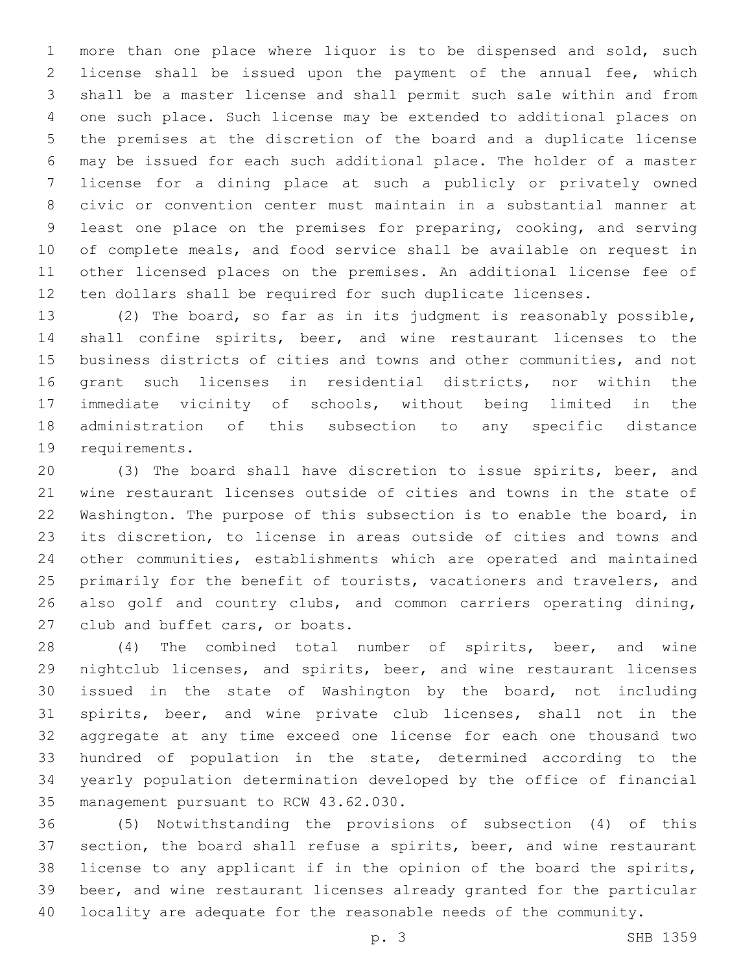more than one place where liquor is to be dispensed and sold, such license shall be issued upon the payment of the annual fee, which shall be a master license and shall permit such sale within and from one such place. Such license may be extended to additional places on the premises at the discretion of the board and a duplicate license may be issued for each such additional place. The holder of a master license for a dining place at such a publicly or privately owned civic or convention center must maintain in a substantial manner at least one place on the premises for preparing, cooking, and serving of complete meals, and food service shall be available on request in other licensed places on the premises. An additional license fee of ten dollars shall be required for such duplicate licenses.

 (2) The board, so far as in its judgment is reasonably possible, shall confine spirits, beer, and wine restaurant licenses to the business districts of cities and towns and other communities, and not grant such licenses in residential districts, nor within the immediate vicinity of schools, without being limited in the administration of this subsection to any specific distance 19 requirements.

 (3) The board shall have discretion to issue spirits, beer, and wine restaurant licenses outside of cities and towns in the state of Washington. The purpose of this subsection is to enable the board, in its discretion, to license in areas outside of cities and towns and other communities, establishments which are operated and maintained 25 primarily for the benefit of tourists, vacationers and travelers, and also golf and country clubs, and common carriers operating dining, 27 club and buffet cars, or boats.

 (4) The combined total number of spirits, beer, and wine nightclub licenses, and spirits, beer, and wine restaurant licenses issued in the state of Washington by the board, not including spirits, beer, and wine private club licenses, shall not in the aggregate at any time exceed one license for each one thousand two hundred of population in the state, determined according to the yearly population determination developed by the office of financial 35 management pursuant to RCW 43.62.030.

 (5) Notwithstanding the provisions of subsection (4) of this section, the board shall refuse a spirits, beer, and wine restaurant license to any applicant if in the opinion of the board the spirits, beer, and wine restaurant licenses already granted for the particular locality are adequate for the reasonable needs of the community.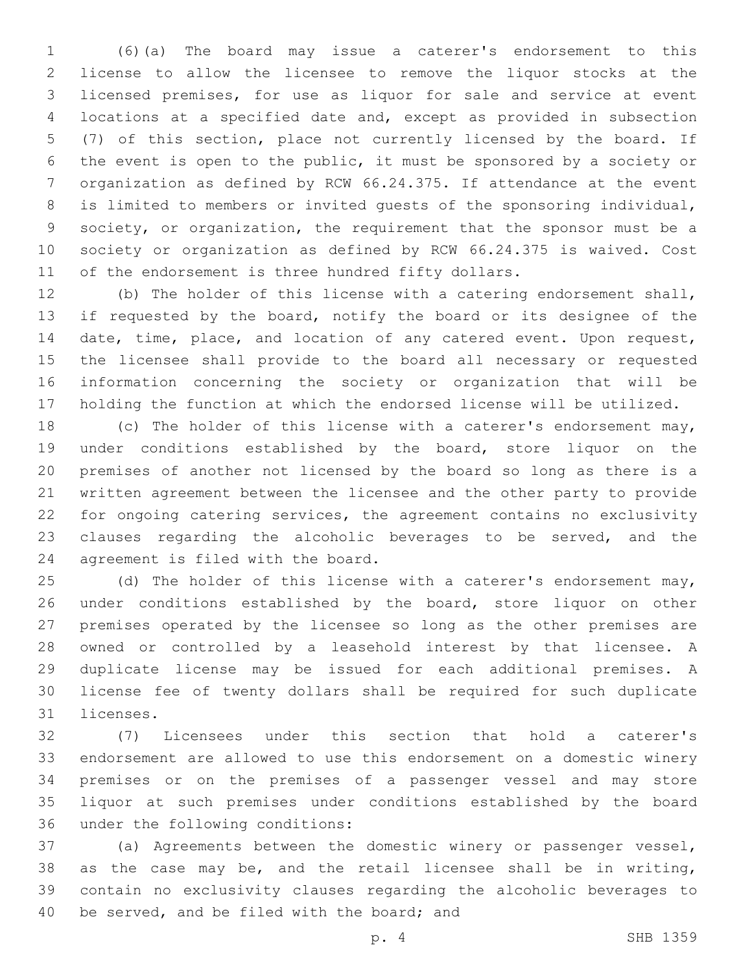(6)(a) The board may issue a caterer's endorsement to this license to allow the licensee to remove the liquor stocks at the licensed premises, for use as liquor for sale and service at event locations at a specified date and, except as provided in subsection (7) of this section, place not currently licensed by the board. If the event is open to the public, it must be sponsored by a society or organization as defined by RCW 66.24.375. If attendance at the event is limited to members or invited guests of the sponsoring individual, society, or organization, the requirement that the sponsor must be a society or organization as defined by RCW 66.24.375 is waived. Cost of the endorsement is three hundred fifty dollars.

 (b) The holder of this license with a catering endorsement shall, if requested by the board, notify the board or its designee of the date, time, place, and location of any catered event. Upon request, the licensee shall provide to the board all necessary or requested information concerning the society or organization that will be holding the function at which the endorsed license will be utilized.

 (c) The holder of this license with a caterer's endorsement may, under conditions established by the board, store liquor on the premises of another not licensed by the board so long as there is a written agreement between the licensee and the other party to provide for ongoing catering services, the agreement contains no exclusivity clauses regarding the alcoholic beverages to be served, and the 24 agreement is filed with the board.

25 (d) The holder of this license with a caterer's endorsement may, 26 under conditions established by the board, store liquor on other premises operated by the licensee so long as the other premises are owned or controlled by a leasehold interest by that licensee. A duplicate license may be issued for each additional premises. A license fee of twenty dollars shall be required for such duplicate 31 licenses.

 (7) Licensees under this section that hold a caterer's endorsement are allowed to use this endorsement on a domestic winery premises or on the premises of a passenger vessel and may store liquor at such premises under conditions established by the board 36 under the following conditions:

 (a) Agreements between the domestic winery or passenger vessel, as the case may be, and the retail licensee shall be in writing, contain no exclusivity clauses regarding the alcoholic beverages to 40 be served, and be filed with the board; and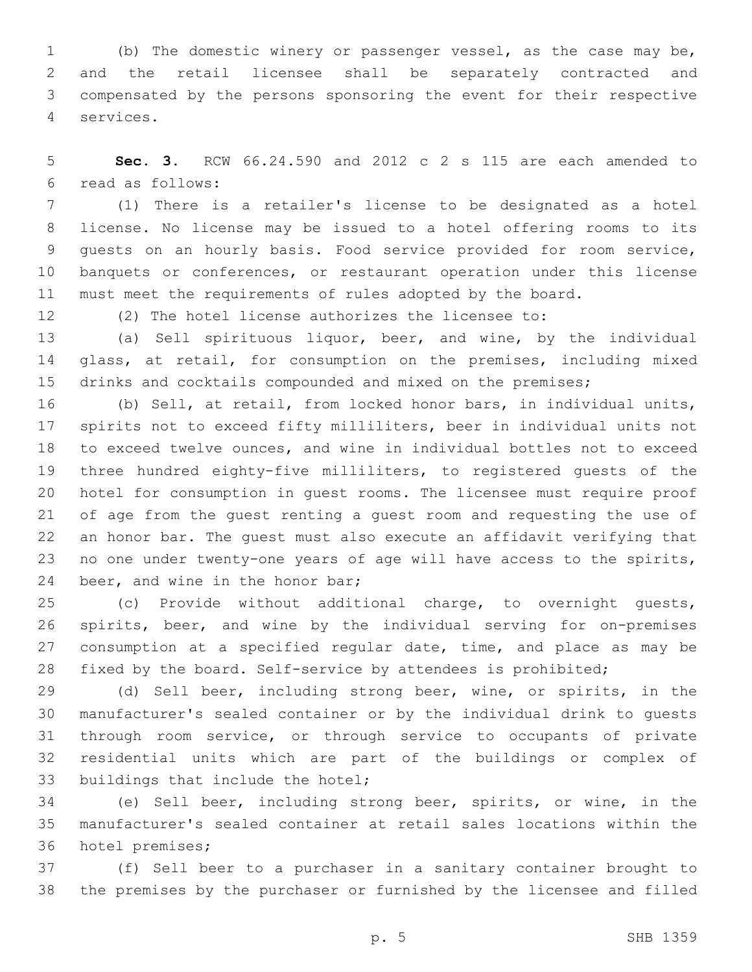(b) The domestic winery or passenger vessel, as the case may be, and the retail licensee shall be separately contracted and compensated by the persons sponsoring the event for their respective services.4

 **Sec. 3.** RCW 66.24.590 and 2012 c 2 s 115 are each amended to read as follows:6

 (1) There is a retailer's license to be designated as a hotel license. No license may be issued to a hotel offering rooms to its guests on an hourly basis. Food service provided for room service, banquets or conferences, or restaurant operation under this license must meet the requirements of rules adopted by the board.

(2) The hotel license authorizes the licensee to:

 (a) Sell spirituous liquor, beer, and wine, by the individual 14 glass, at retail, for consumption on the premises, including mixed 15 drinks and cocktails compounded and mixed on the premises;

 (b) Sell, at retail, from locked honor bars, in individual units, spirits not to exceed fifty milliliters, beer in individual units not to exceed twelve ounces, and wine in individual bottles not to exceed three hundred eighty-five milliliters, to registered guests of the hotel for consumption in guest rooms. The licensee must require proof of age from the guest renting a guest room and requesting the use of an honor bar. The guest must also execute an affidavit verifying that no one under twenty-one years of age will have access to the spirits, 24 beer, and wine in the honor bar;

 (c) Provide without additional charge, to overnight guests, spirits, beer, and wine by the individual serving for on-premises 27 consumption at a specified regular date, time, and place as may be fixed by the board. Self-service by attendees is prohibited;

 (d) Sell beer, including strong beer, wine, or spirits, in the manufacturer's sealed container or by the individual drink to guests through room service, or through service to occupants of private residential units which are part of the buildings or complex of 33 buildings that include the hotel;

 (e) Sell beer, including strong beer, spirits, or wine, in the manufacturer's sealed container at retail sales locations within the 36 hotel premises;

 (f) Sell beer to a purchaser in a sanitary container brought to the premises by the purchaser or furnished by the licensee and filled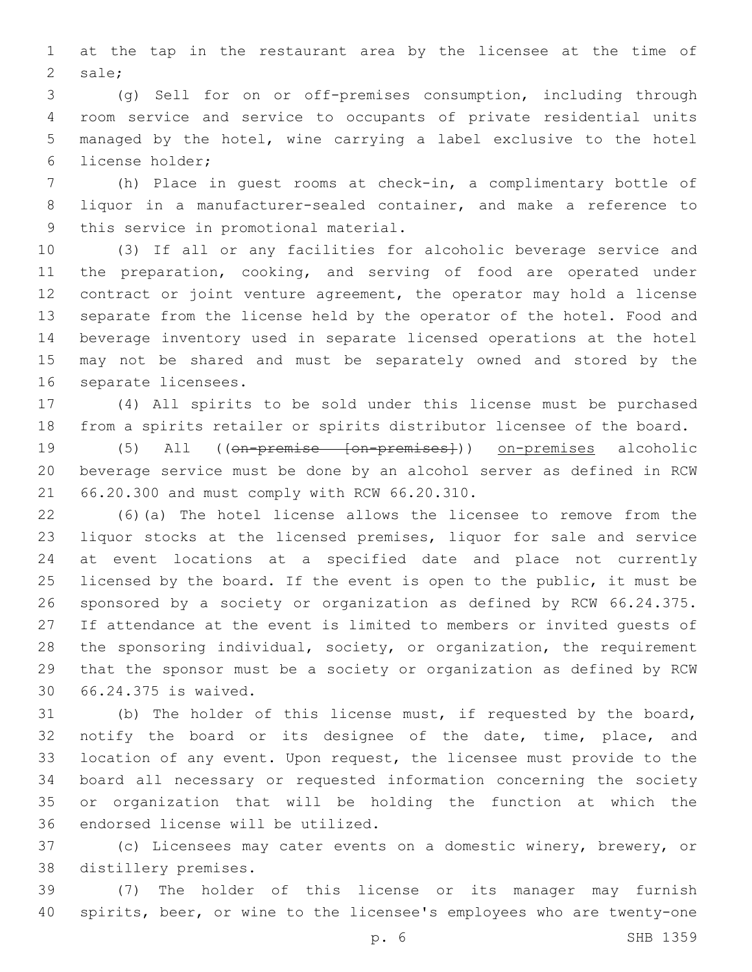at the tap in the restaurant area by the licensee at the time of 2 sale;

 (g) Sell for on or off-premises consumption, including through room service and service to occupants of private residential units managed by the hotel, wine carrying a label exclusive to the hotel 6 license holder;

 (h) Place in guest rooms at check-in, a complimentary bottle of liquor in a manufacturer-sealed container, and make a reference to 9 this service in promotional material.

 (3) If all or any facilities for alcoholic beverage service and the preparation, cooking, and serving of food are operated under contract or joint venture agreement, the operator may hold a license separate from the license held by the operator of the hotel. Food and beverage inventory used in separate licensed operations at the hotel may not be shared and must be separately owned and stored by the 16 separate licensees.

 (4) All spirits to be sold under this license must be purchased from a spirits retailer or spirits distributor licensee of the board.

 (5) All ((on-premise [on-premises])) on-premises alcoholic beverage service must be done by an alcohol server as defined in RCW 66.20.300 and must comply with RCW 66.20.310.21

 (6)(a) The hotel license allows the licensee to remove from the liquor stocks at the licensed premises, liquor for sale and service at event locations at a specified date and place not currently licensed by the board. If the event is open to the public, it must be sponsored by a society or organization as defined by RCW 66.24.375. If attendance at the event is limited to members or invited guests of the sponsoring individual, society, or organization, the requirement that the sponsor must be a society or organization as defined by RCW 66.24.375 is waived.30

 (b) The holder of this license must, if requested by the board, 32 notify the board or its designee of the date, time, place, and location of any event. Upon request, the licensee must provide to the board all necessary or requested information concerning the society or organization that will be holding the function at which the 36 endorsed license will be utilized.

 (c) Licensees may cater events on a domestic winery, brewery, or 38 distillery premises.

 (7) The holder of this license or its manager may furnish spirits, beer, or wine to the licensee's employees who are twenty-one

p. 6 SHB 1359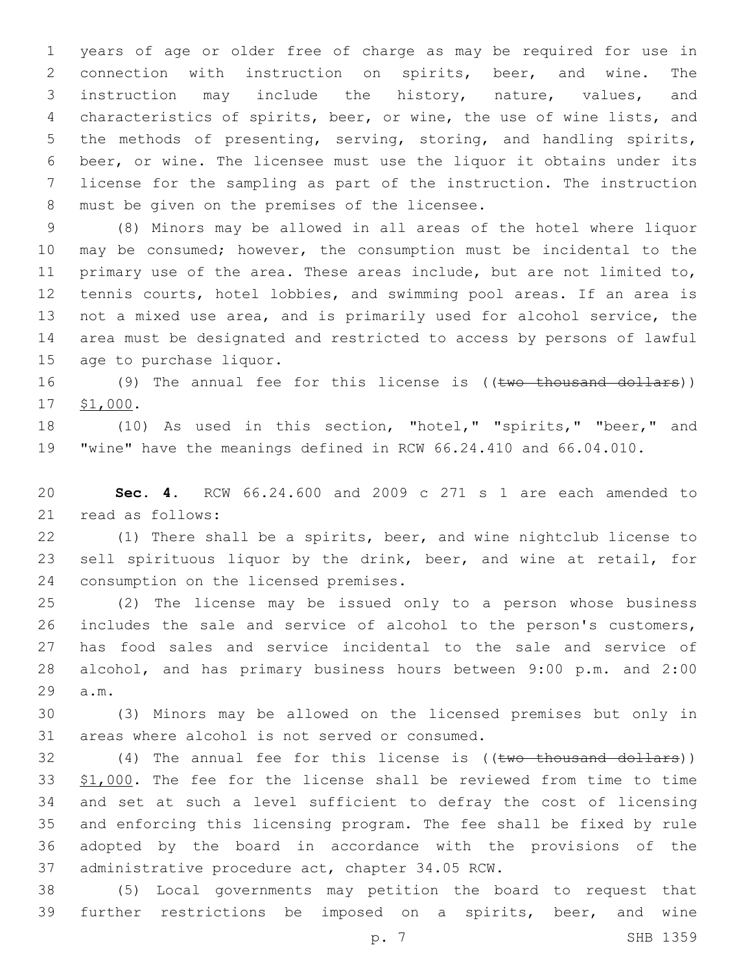years of age or older free of charge as may be required for use in connection with instruction on spirits, beer, and wine. The instruction may include the history, nature, values, and characteristics of spirits, beer, or wine, the use of wine lists, and the methods of presenting, serving, storing, and handling spirits, beer, or wine. The licensee must use the liquor it obtains under its license for the sampling as part of the instruction. The instruction 8 must be given on the premises of the licensee.

 (8) Minors may be allowed in all areas of the hotel where liquor may be consumed; however, the consumption must be incidental to the primary use of the area. These areas include, but are not limited to, 12 tennis courts, hotel lobbies, and swimming pool areas. If an area is not a mixed use area, and is primarily used for alcohol service, the area must be designated and restricted to access by persons of lawful 15 age to purchase liquor.

16 (9) The annual fee for this license is ((two thousand dollars)) 17 \$1,000.

 (10) As used in this section, "hotel," "spirits," "beer," and "wine" have the meanings defined in RCW 66.24.410 and 66.04.010.

 **Sec. 4.** RCW 66.24.600 and 2009 c 271 s 1 are each amended to 21 read as follows:

 (1) There shall be a spirits, beer, and wine nightclub license to sell spirituous liquor by the drink, beer, and wine at retail, for 24 consumption on the licensed premises.

 (2) The license may be issued only to a person whose business includes the sale and service of alcohol to the person's customers, has food sales and service incidental to the sale and service of alcohol, and has primary business hours between 9:00 p.m. and 2:00 29 a.m.

 (3) Minors may be allowed on the licensed premises but only in 31 areas where alcohol is not served or consumed.

32 (4) The annual fee for this license is ((two thousand dollars)) \$1,000. The fee for the license shall be reviewed from time to time and set at such a level sufficient to defray the cost of licensing and enforcing this licensing program. The fee shall be fixed by rule adopted by the board in accordance with the provisions of the 37 administrative procedure act, chapter 34.05 RCW.

 (5) Local governments may petition the board to request that further restrictions be imposed on a spirits, beer, and wine

p. 7 SHB 1359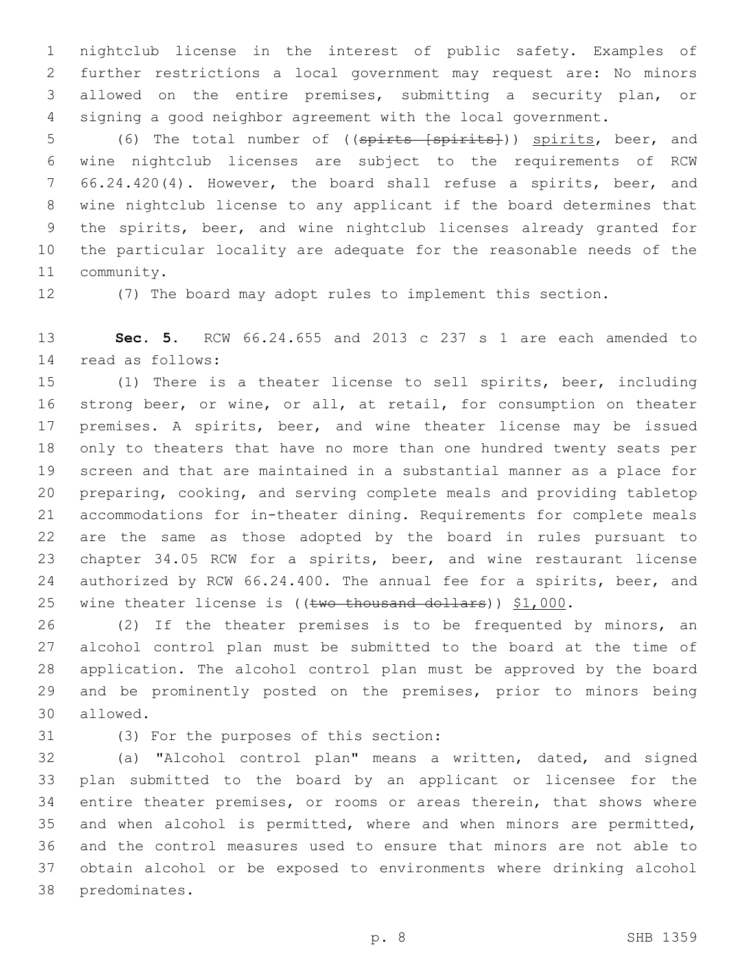nightclub license in the interest of public safety. Examples of further restrictions a local government may request are: No minors allowed on the entire premises, submitting a security plan, or signing a good neighbor agreement with the local government.

5 (6) The total number of ((spirts [spirits])) spirits, beer, and wine nightclub licenses are subject to the requirements of RCW 66.24.420(4). However, the board shall refuse a spirits, beer, and wine nightclub license to any applicant if the board determines that the spirits, beer, and wine nightclub licenses already granted for the particular locality are adequate for the reasonable needs of the 11 community.

(7) The board may adopt rules to implement this section.

 **Sec. 5.** RCW 66.24.655 and 2013 c 237 s 1 are each amended to 14 read as follows:

 (1) There is a theater license to sell spirits, beer, including strong beer, or wine, or all, at retail, for consumption on theater premises. A spirits, beer, and wine theater license may be issued only to theaters that have no more than one hundred twenty seats per screen and that are maintained in a substantial manner as a place for preparing, cooking, and serving complete meals and providing tabletop accommodations for in-theater dining. Requirements for complete meals are the same as those adopted by the board in rules pursuant to chapter 34.05 RCW for a spirits, beer, and wine restaurant license authorized by RCW 66.24.400. The annual fee for a spirits, beer, and 25 wine theater license is ((two thousand dollars)) \$1,000.

 (2) If the theater premises is to be frequented by minors, an alcohol control plan must be submitted to the board at the time of application. The alcohol control plan must be approved by the board and be prominently posted on the premises, prior to minors being 30 allowed.

(3) For the purposes of this section:31

 (a) "Alcohol control plan" means a written, dated, and signed plan submitted to the board by an applicant or licensee for the entire theater premises, or rooms or areas therein, that shows where and when alcohol is permitted, where and when minors are permitted, and the control measures used to ensure that minors are not able to obtain alcohol or be exposed to environments where drinking alcohol 38 predominates.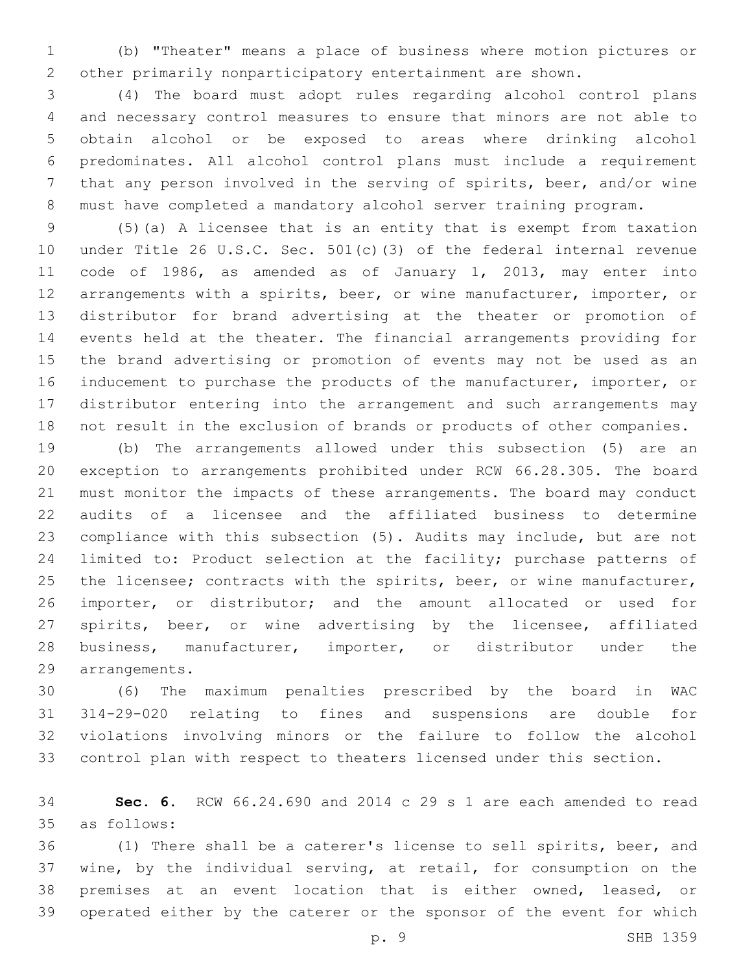(b) "Theater" means a place of business where motion pictures or other primarily nonparticipatory entertainment are shown.

 (4) The board must adopt rules regarding alcohol control plans and necessary control measures to ensure that minors are not able to obtain alcohol or be exposed to areas where drinking alcohol predominates. All alcohol control plans must include a requirement that any person involved in the serving of spirits, beer, and/or wine must have completed a mandatory alcohol server training program.

 (5)(a) A licensee that is an entity that is exempt from taxation under Title 26 U.S.C. Sec. 501(c)(3) of the federal internal revenue code of 1986, as amended as of January 1, 2013, may enter into arrangements with a spirits, beer, or wine manufacturer, importer, or distributor for brand advertising at the theater or promotion of events held at the theater. The financial arrangements providing for the brand advertising or promotion of events may not be used as an inducement to purchase the products of the manufacturer, importer, or distributor entering into the arrangement and such arrangements may not result in the exclusion of brands or products of other companies.

 (b) The arrangements allowed under this subsection (5) are an exception to arrangements prohibited under RCW 66.28.305. The board must monitor the impacts of these arrangements. The board may conduct audits of a licensee and the affiliated business to determine compliance with this subsection (5). Audits may include, but are not limited to: Product selection at the facility; purchase patterns of 25 the licensee; contracts with the spirits, beer, or wine manufacturer, importer, or distributor; and the amount allocated or used for spirits, beer, or wine advertising by the licensee, affiliated business, manufacturer, importer, or distributor under the arrangements.29

 (6) The maximum penalties prescribed by the board in WAC 314-29-020 relating to fines and suspensions are double for violations involving minors or the failure to follow the alcohol control plan with respect to theaters licensed under this section.

 **Sec. 6.** RCW 66.24.690 and 2014 c 29 s 1 are each amended to read as follows:35

 (1) There shall be a caterer's license to sell spirits, beer, and wine, by the individual serving, at retail, for consumption on the premises at an event location that is either owned, leased, or operated either by the caterer or the sponsor of the event for which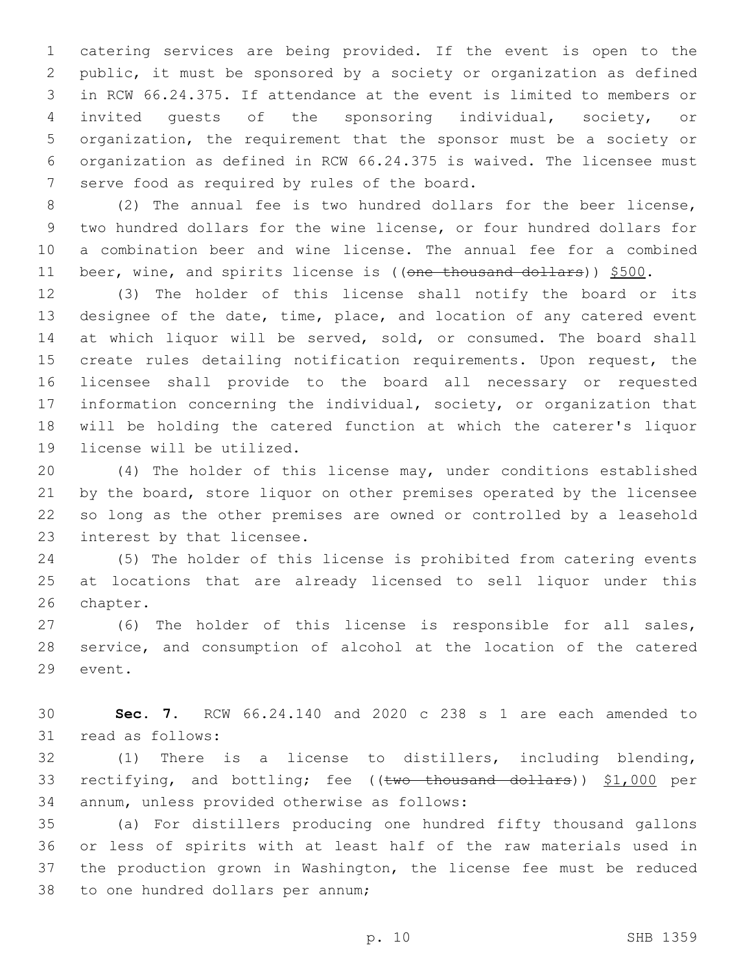catering services are being provided. If the event is open to the public, it must be sponsored by a society or organization as defined in RCW 66.24.375. If attendance at the event is limited to members or invited guests of the sponsoring individual, society, or organization, the requirement that the sponsor must be a society or organization as defined in RCW 66.24.375 is waived. The licensee must 7 serve food as required by rules of the board.

 (2) The annual fee is two hundred dollars for the beer license, two hundred dollars for the wine license, or four hundred dollars for a combination beer and wine license. The annual fee for a combined 11 beer, wine, and spirits license is ((one thousand dollars)) \$500.

 (3) The holder of this license shall notify the board or its designee of the date, time, place, and location of any catered event 14 at which liquor will be served, sold, or consumed. The board shall create rules detailing notification requirements. Upon request, the licensee shall provide to the board all necessary or requested information concerning the individual, society, or organization that will be holding the catered function at which the caterer's liquor 19 license will be utilized.

 (4) The holder of this license may, under conditions established 21 by the board, store liquor on other premises operated by the licensee so long as the other premises are owned or controlled by a leasehold 23 interest by that licensee.

 (5) The holder of this license is prohibited from catering events at locations that are already licensed to sell liquor under this 26 chapter.

 (6) The holder of this license is responsible for all sales, service, and consumption of alcohol at the location of the catered 29 event.

 **Sec. 7.** RCW 66.24.140 and 2020 c 238 s 1 are each amended to 31 read as follows:

 (1) There is a license to distillers, including blending, 33 rectifying, and bottling; fee ((two thousand dollars)) \$1,000 per 34 annum, unless provided otherwise as follows:

 (a) For distillers producing one hundred fifty thousand gallons or less of spirits with at least half of the raw materials used in the production grown in Washington, the license fee must be reduced 38 to one hundred dollars per annum;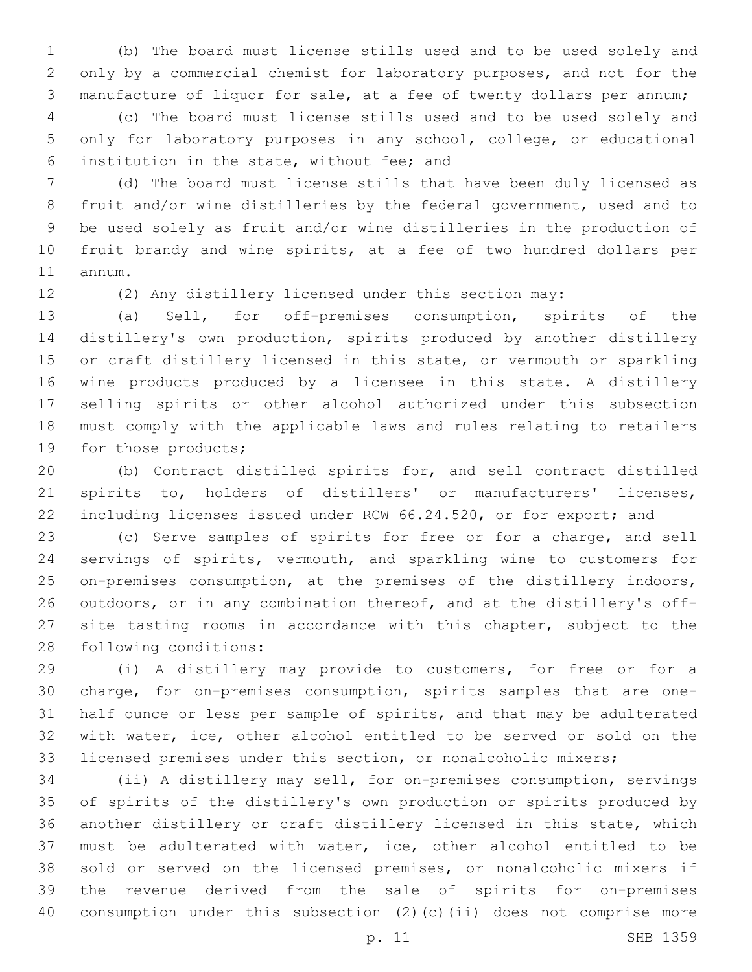(b) The board must license stills used and to be used solely and only by a commercial chemist for laboratory purposes, and not for the manufacture of liquor for sale, at a fee of twenty dollars per annum;

 (c) The board must license stills used and to be used solely and only for laboratory purposes in any school, college, or educational institution in the state, without fee; and6

 (d) The board must license stills that have been duly licensed as fruit and/or wine distilleries by the federal government, used and to be used solely as fruit and/or wine distilleries in the production of fruit brandy and wine spirits, at a fee of two hundred dollars per 11 annum.

(2) Any distillery licensed under this section may:

 (a) Sell, for off-premises consumption, spirits of the distillery's own production, spirits produced by another distillery or craft distillery licensed in this state, or vermouth or sparkling wine products produced by a licensee in this state. A distillery selling spirits or other alcohol authorized under this subsection must comply with the applicable laws and rules relating to retailers 19 for those products;

 (b) Contract distilled spirits for, and sell contract distilled spirits to, holders of distillers' or manufacturers' licenses, including licenses issued under RCW 66.24.520, or for export; and

 (c) Serve samples of spirits for free or for a charge, and sell servings of spirits, vermouth, and sparkling wine to customers for on-premises consumption, at the premises of the distillery indoors, outdoors, or in any combination thereof, and at the distillery's off- site tasting rooms in accordance with this chapter, subject to the 28 following conditions:

 (i) A distillery may provide to customers, for free or for a charge, for on-premises consumption, spirits samples that are one- half ounce or less per sample of spirits, and that may be adulterated with water, ice, other alcohol entitled to be served or sold on the licensed premises under this section, or nonalcoholic mixers;

 (ii) A distillery may sell, for on-premises consumption, servings of spirits of the distillery's own production or spirits produced by another distillery or craft distillery licensed in this state, which must be adulterated with water, ice, other alcohol entitled to be sold or served on the licensed premises, or nonalcoholic mixers if the revenue derived from the sale of spirits for on-premises consumption under this subsection (2)(c)(ii) does not comprise more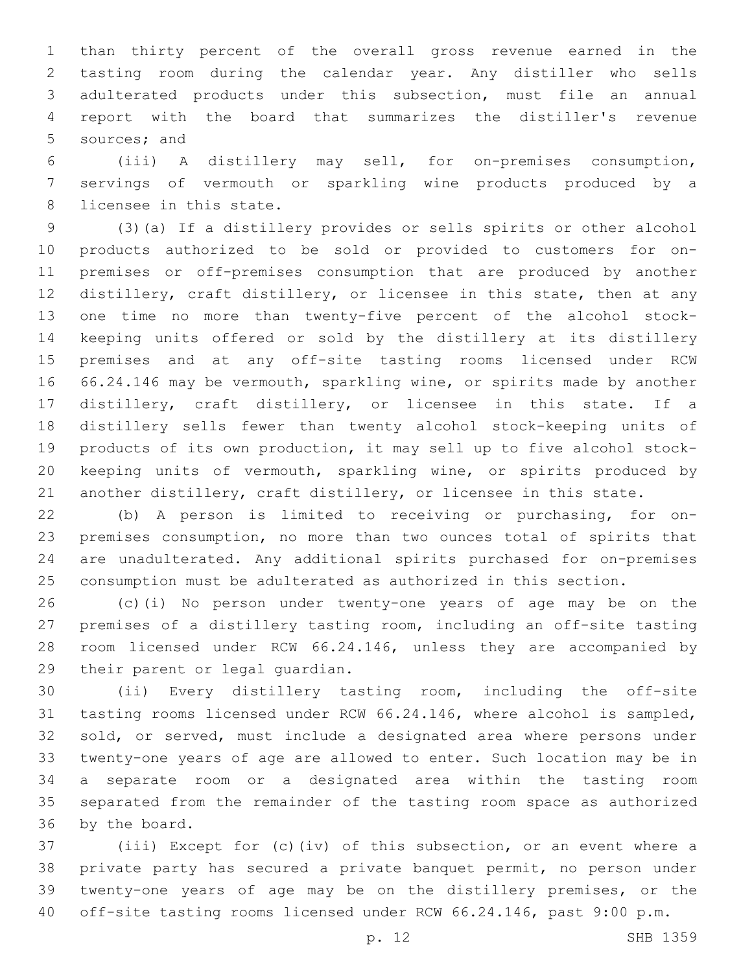than thirty percent of the overall gross revenue earned in the tasting room during the calendar year. Any distiller who sells adulterated products under this subsection, must file an annual report with the board that summarizes the distiller's revenue 5 sources; and

 (iii) A distillery may sell, for on-premises consumption, servings of vermouth or sparkling wine products produced by a 8 licensee in this state.

 (3)(a) If a distillery provides or sells spirits or other alcohol products authorized to be sold or provided to customers for on- premises or off-premises consumption that are produced by another distillery, craft distillery, or licensee in this state, then at any one time no more than twenty-five percent of the alcohol stock- keeping units offered or sold by the distillery at its distillery premises and at any off-site tasting rooms licensed under RCW 66.24.146 may be vermouth, sparkling wine, or spirits made by another distillery, craft distillery, or licensee in this state. If a distillery sells fewer than twenty alcohol stock-keeping units of products of its own production, it may sell up to five alcohol stock- keeping units of vermouth, sparkling wine, or spirits produced by another distillery, craft distillery, or licensee in this state.

 (b) A person is limited to receiving or purchasing, for on- premises consumption, no more than two ounces total of spirits that are unadulterated. Any additional spirits purchased for on-premises consumption must be adulterated as authorized in this section.

 (c)(i) No person under twenty-one years of age may be on the premises of a distillery tasting room, including an off-site tasting room licensed under RCW 66.24.146, unless they are accompanied by 29 their parent or legal quardian.

 (ii) Every distillery tasting room, including the off-site tasting rooms licensed under RCW 66.24.146, where alcohol is sampled, sold, or served, must include a designated area where persons under twenty-one years of age are allowed to enter. Such location may be in a separate room or a designated area within the tasting room separated from the remainder of the tasting room space as authorized 36 by the board.

 (iii) Except for (c)(iv) of this subsection, or an event where a private party has secured a private banquet permit, no person under twenty-one years of age may be on the distillery premises, or the off-site tasting rooms licensed under RCW 66.24.146, past 9:00 p.m.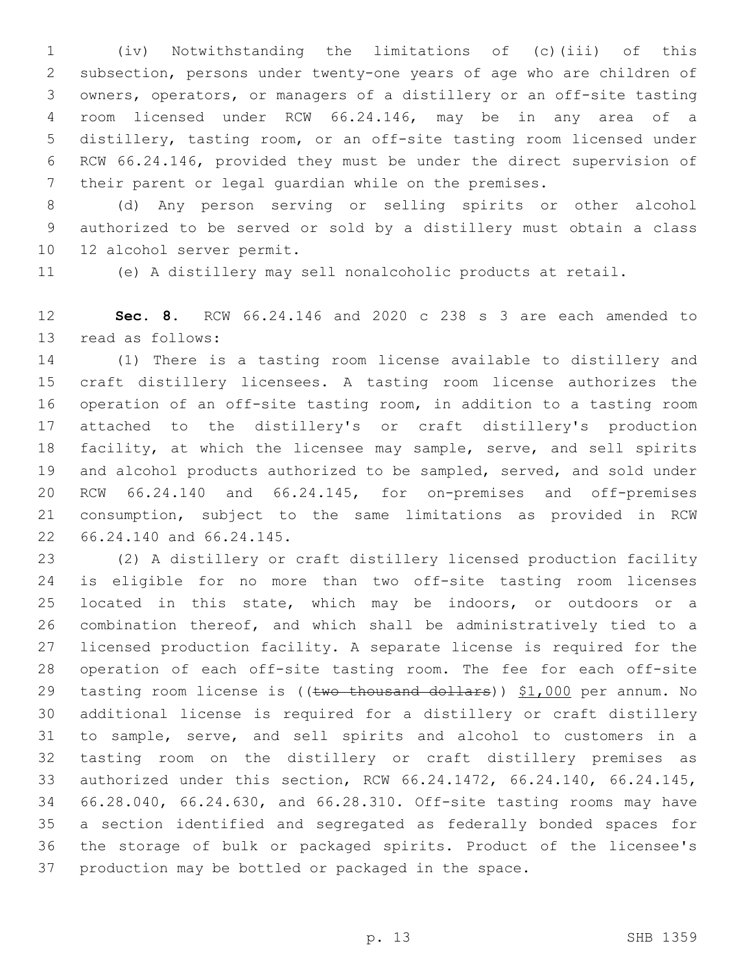(iv) Notwithstanding the limitations of (c)(iii) of this subsection, persons under twenty-one years of age who are children of owners, operators, or managers of a distillery or an off-site tasting room licensed under RCW 66.24.146, may be in any area of a distillery, tasting room, or an off-site tasting room licensed under RCW 66.24.146, provided they must be under the direct supervision of their parent or legal guardian while on the premises.

 (d) Any person serving or selling spirits or other alcohol authorized to be served or sold by a distillery must obtain a class 10 12 alcohol server permit.

(e) A distillery may sell nonalcoholic products at retail.

 **Sec. 8.** RCW 66.24.146 and 2020 c 238 s 3 are each amended to 13 read as follows:

 (1) There is a tasting room license available to distillery and craft distillery licensees. A tasting room license authorizes the operation of an off-site tasting room, in addition to a tasting room attached to the distillery's or craft distillery's production facility, at which the licensee may sample, serve, and sell spirits and alcohol products authorized to be sampled, served, and sold under RCW 66.24.140 and 66.24.145, for on-premises and off-premises consumption, subject to the same limitations as provided in RCW 22 66.24.140 and 66.24.145.

 (2) A distillery or craft distillery licensed production facility is eligible for no more than two off-site tasting room licenses located in this state, which may be indoors, or outdoors or a combination thereof, and which shall be administratively tied to a licensed production facility. A separate license is required for the operation of each off-site tasting room. The fee for each off-site 29 tasting room license is ((two thousand dollars)) \$1,000 per annum. No additional license is required for a distillery or craft distillery to sample, serve, and sell spirits and alcohol to customers in a tasting room on the distillery or craft distillery premises as authorized under this section, RCW 66.24.1472, 66.24.140, 66.24.145, 66.28.040, 66.24.630, and 66.28.310. Off-site tasting rooms may have a section identified and segregated as federally bonded spaces for the storage of bulk or packaged spirits. Product of the licensee's production may be bottled or packaged in the space.